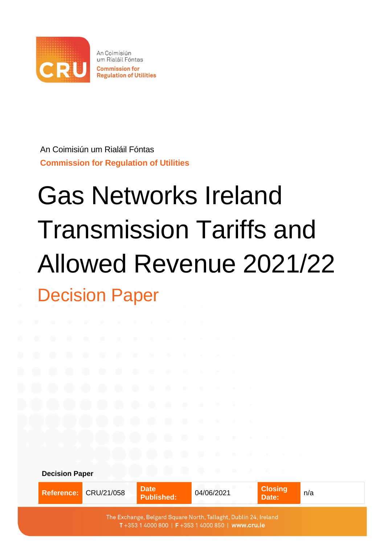

An Coimisiún um Rialáil Fóntas **Commission for Regulation of Utilities**

# Gas Networks Ireland Transmission Tariffs and Allowed Revenue 2021/22 Decision Paper

**Decision Paper Reference: CRU/21/058 Date Closing Published:** 04/06/2021 **Date:** n/a The Exchange, Belgard Square North, Tallaght, Dublin 24, Ireland T+353 1 4000 800 | F+353 1 4000 850 | www.cru.ie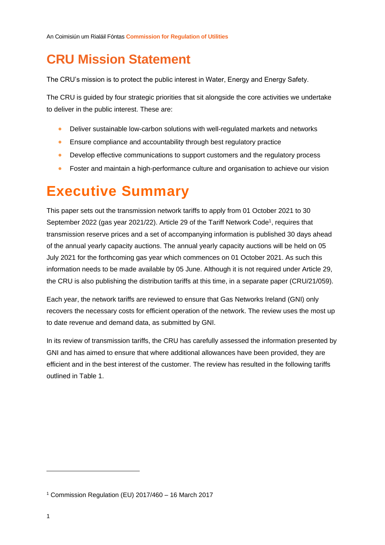## **CRU Mission Statement**

The CRU's mission is to protect the public interest in Water, Energy and Energy Safety.

The CRU is guided by four strategic priorities that sit alongside the core activities we undertake to deliver in the public interest. These are:

- Deliver sustainable low-carbon solutions with well-regulated markets and networks
- Ensure compliance and accountability through best regulatory practice
- Develop effective communications to support customers and the regulatory process
- Foster and maintain a high-performance culture and organisation to achieve our vision

## <span id="page-1-0"></span>**Executive Summary**

This paper sets out the transmission network tariffs to apply from 01 October 2021 to 30 September 2022 (gas year 2021/22). Article 29 of the Tariff Network Code<sup>1</sup>, requires that transmission reserve prices and a set of accompanying information is published 30 days ahead of the annual yearly capacity auctions. The annual yearly capacity auctions will be held on 05 July 2021 for the forthcoming gas year which commences on 01 October 2021. As such this information needs to be made available by 05 June. Although it is not required under Article 29, the CRU is also publishing the distribution tariffs at this time, in a separate paper (CRU/21/059).

Each year, the network tariffs are reviewed to ensure that Gas Networks Ireland (GNI) only recovers the necessary costs for efficient operation of the network. The review uses the most up to date revenue and demand data, as submitted by GNI.

In its review of transmission tariffs, the CRU has carefully assessed the information presented by GNI and has aimed to ensure that where additional allowances have been provided, they are efficient and in the best interest of the customer. The review has resulted in the following tariffs outlined in [Table 1.](#page-2-0)

<sup>1</sup> Commission Regulation (EU) 2017/460 – 16 March 2017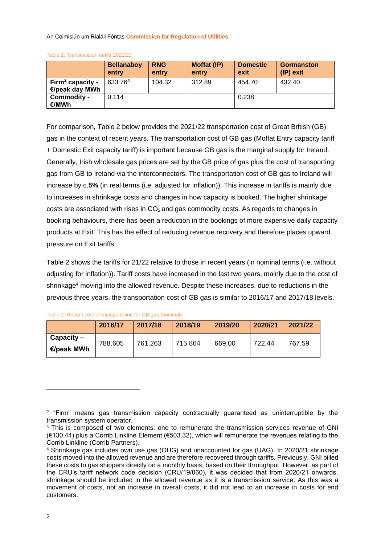|                                                | <b>Bellanaboy</b><br>entry | <b>RNG</b><br>entry | Moffat (IP)<br>entry | <b>Domestic</b><br>exit | <b>Gormanston</b><br>(IP) exit |
|------------------------------------------------|----------------------------|---------------------|----------------------|-------------------------|--------------------------------|
| Firm <sup>2</sup> capacity -<br>€/peak day MWh | 633.763                    | 104.32              | 312.89               | 454.70                  | 432.40                         |
| Commodity -<br>€/MWh                           | 0.114                      |                     |                      | 0.238                   |                                |

<span id="page-2-0"></span>Table 1: Transmission tariffs 2021/22

For comparison, [Table 2](#page-2-1) below provides the 2021/22 transportation cost of Great British (GB) gas in the context of recent years. The transportation cost of GB gas (Moffat Entry capacity tariff + Domestic Exit capacity tariff) is important because GB gas is the marginal supply for Ireland. Generally, Irish wholesale gas prices are set by the GB price of gas plus the cost of transporting gas from GB to Ireland via the interconnectors. The transportation cost of GB gas to Ireland will increase by c.**5%** (in real terms (i.e. adjusted for inflation)). This increase in tariffs is mainly due to increases in shrinkage costs and changes in how capacity is booked. The higher shrinkage costs are associated with rises in  $CO<sub>2</sub>$  and gas commodity costs. As regards to changes in booking behaviours, there has been a reduction in the bookings of more expensive daily capacity products at Exit. This has the effect of reducing revenue recovery and therefore places upward pressure on Exit tariffs.

[Table 2](#page-2-1) shows the tariffs for 21/22 relative to those in recent years (in nominal terms (i.e. without adjusting for inflation)). Tariff costs have increased in the last two years, mainly due to the cost of shrinkage<sup>4</sup> moving into the allowed revenue. Despite these increases, due to reductions in the previous three years, the transportation cost of GB gas is similar to 2016/17 and 2017/18 levels.

<span id="page-2-1"></span>

| Table 2: Recent cost of transportation for GB gas (nominal) |  |  |
|-------------------------------------------------------------|--|--|
|                                                             |  |  |

|                                      | 2016/17 | 2017/18 | 2018/19 | 2019/20 | 2020/21 | 2021/22 |
|--------------------------------------|---------|---------|---------|---------|---------|---------|
| $Capacity -$<br>$\epsilon$ /peak MWh | 788.605 | 761.263 | 715.864 | 669.00  | 722.44  | 767.59  |
|                                      |         |         |         |         |         |         |

<sup>&</sup>lt;sup>2</sup> "Firm" means gas transmission capacity contractually guaranteed as uninterruptible by the transmission system operator.

<sup>&</sup>lt;sup>3</sup> This is composed of two elements; one to remunerate the transmission services revenue of GNI (€130.44) plus a Corrib Linkline Element (€503.32), which will remunerate the revenues relating to the Corrib Linkline (Corrib Partners).

<sup>4</sup> Shrinkage gas includes own use gas (OUG) and unaccounted for gas (UAG). In 2020/21 shrinkage costs moved into the allowed revenue and are therefore recovered through tariffs. Previously, GNI billed these costs to gas shippers directly on a monthly basis, based on their throughput. However, as part of the CRU's tariff network code decision (CRU/19/060), it was decided that from 2020/21 onwards, shrinkage should be included in the allowed revenue as it is a transmission service. As this was a movement of costs, not an increase in overall costs, it did not lead to an increase in costs for end customers.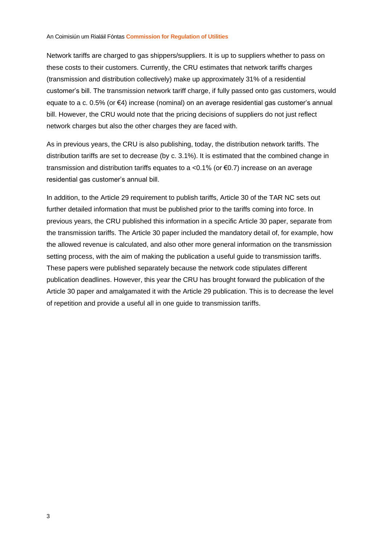Network tariffs are charged to gas shippers/suppliers. It is up to suppliers whether to pass on these costs to their customers. Currently, the CRU estimates that network tariffs charges (transmission and distribution collectively) make up approximately 31% of a residential customer's bill. The transmission network tariff charge, if fully passed onto gas customers, would equate to a c. 0.5% (or €4) increase (nominal) on an average residential gas customer's annual bill. However, the CRU would note that the pricing decisions of suppliers do not just reflect network charges but also the other charges they are faced with.

As in previous years, the CRU is also publishing, today, the distribution network tariffs. The distribution tariffs are set to decrease (by c. 3.1%). It is estimated that the combined change in transmission and distribution tariffs equates to a <0.1% (or  $\epsilon$ 0.7) increase on an average residential gas customer's annual bill.

In addition, to the Article 29 requirement to publish tariffs, Article 30 of the TAR NC sets out further detailed information that must be published prior to the tariffs coming into force. In previous years, the CRU published this information in a specific Article 30 paper, separate from the transmission tariffs. The Article 30 paper included the mandatory detail of, for example, how the allowed revenue is calculated, and also other more general information on the transmission setting process, with the aim of making the publication a useful guide to transmission tariffs. These papers were published separately because the network code stipulates different publication deadlines. However, this year the CRU has brought forward the publication of the Article 30 paper and amalgamated it with the Article 29 publication. This is to decrease the level of repetition and provide a useful all in one guide to transmission tariffs.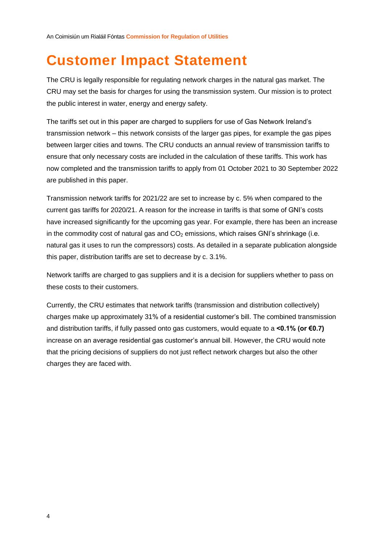## <span id="page-4-0"></span>**Customer Impact Statement**

The CRU is legally responsible for regulating network charges in the natural gas market. The CRU may set the basis for charges for using the transmission system. Our mission is to protect the public interest in water, energy and energy safety.

The tariffs set out in this paper are charged to suppliers for use of Gas Network Ireland's transmission network – this network consists of the larger gas pipes, for example the gas pipes between larger cities and towns. The CRU conducts an annual review of transmission tariffs to ensure that only necessary costs are included in the calculation of these tariffs. This work has now completed and the transmission tariffs to apply from 01 October 2021 to 30 September 2022 are published in this paper.

Transmission network tariffs for 2021/22 are set to increase by c. 5% when compared to the current gas tariffs for 2020/21. A reason for the increase in tariffs is that some of GNI's costs have increased significantly for the upcoming gas year. For example, there has been an increase in the commodity cost of natural gas and  $CO<sub>2</sub>$  emissions, which raises GNI's shrinkage (i.e. natural gas it uses to run the compressors) costs. As detailed in a separate publication alongside this paper, distribution tariffs are set to decrease by c. 3.1%.

Network tariffs are charged to gas suppliers and it is a decision for suppliers whether to pass on these costs to their customers.

Currently, the CRU estimates that network tariffs (transmission and distribution collectively) charges make up approximately 31% of a residential customer's bill. The combined transmission and distribution tariffs, if fully passed onto gas customers, would equate to a **<0.1% (or €0.7)** increase on an average residential gas customer's annual bill. However, the CRU would note that the pricing decisions of suppliers do not just reflect network charges but also the other charges they are faced with.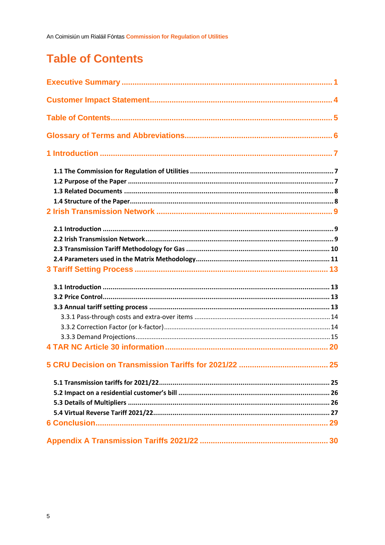## <span id="page-5-0"></span>**Table of Contents**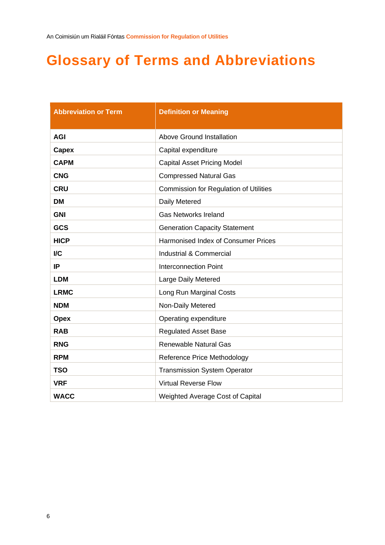## <span id="page-6-0"></span>**Glossary of Terms and Abbreviations**

| <b>Abbreviation or Term</b> | <b>Definition or Meaning</b>                  |
|-----------------------------|-----------------------------------------------|
| <b>AGI</b>                  | <b>Above Ground Installation</b>              |
| Capex                       | Capital expenditure                           |
| <b>CAPM</b>                 | <b>Capital Asset Pricing Model</b>            |
| <b>CNG</b>                  | <b>Compressed Natural Gas</b>                 |
| <b>CRU</b>                  | <b>Commission for Regulation of Utilities</b> |
| <b>DM</b>                   | Daily Metered                                 |
| <b>GNI</b>                  | <b>Gas Networks Ireland</b>                   |
| GCS                         | <b>Generation Capacity Statement</b>          |
| <b>HICP</b>                 | Harmonised Index of Consumer Prices           |
| $\overline{IC}$             | Industrial & Commercial                       |
| IP                          | <b>Interconnection Point</b>                  |
| <b>LDM</b>                  | Large Daily Metered                           |
| <b>LRMC</b>                 | Long Run Marginal Costs                       |
| <b>NDM</b>                  | Non-Daily Metered                             |
| <b>Opex</b>                 | Operating expenditure                         |
| <b>RAB</b>                  | <b>Regulated Asset Base</b>                   |
| <b>RNG</b>                  | <b>Renewable Natural Gas</b>                  |
| <b>RPM</b>                  | <b>Reference Price Methodology</b>            |
| <b>TSO</b>                  | <b>Transmission System Operator</b>           |
| <b>VRF</b>                  | <b>Virtual Reverse Flow</b>                   |
| <b>WACC</b>                 | Weighted Average Cost of Capital              |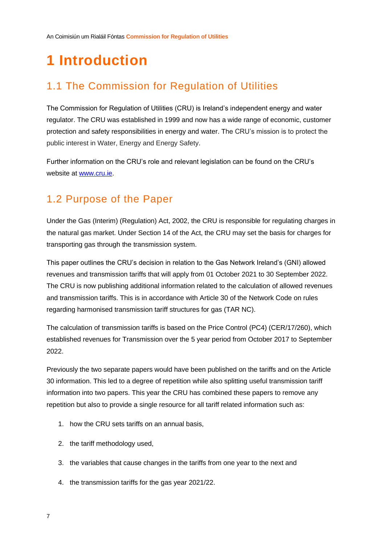## <span id="page-7-0"></span>**1 Introduction**

## <span id="page-7-1"></span>1.1 The Commission for Regulation of Utilities

The Commission for Regulation of Utilities (CRU) is Ireland's independent energy and water regulator. The CRU was established in 1999 and now has a wide range of economic, customer protection and safety responsibilities in energy and water. The CRU's mission is to protect the public interest in Water, Energy and Energy Safety.

Further information on the CRU's role and relevant legislation can be found on the CRU's website at [www.cru.ie.](http://www.cru.ie/)

### <span id="page-7-2"></span>1.2 Purpose of the Paper

Under the Gas (Interim) (Regulation) Act, 2002, the CRU is responsible for regulating charges in the natural gas market. Under Section 14 of the Act, the CRU may set the basis for charges for transporting gas through the transmission system.

This paper outlines the CRU's decision in relation to the Gas Network Ireland's (GNI) allowed revenues and transmission tariffs that will apply from 01 October 2021 to 30 September 2022. The CRU is now publishing additional information related to the calculation of allowed revenues and transmission tariffs. This is in accordance with Article 30 of the Network Code on rules regarding harmonised transmission tariff structures for gas (TAR NC).

The calculation of transmission tariffs is based on the Price Control (PC4) (CER/17/260), which established revenues for Transmission over the 5 year period from October 2017 to September 2022.

Previously the two separate papers would have been published on the tariffs and on the Article 30 information. This led to a degree of repetition while also splitting useful transmission tariff information into two papers. This year the CRU has combined these papers to remove any repetition but also to provide a single resource for all tariff related information such as:

- 1. how the CRU sets tariffs on an annual basis,
- 2. the tariff methodology used,
- 3. the variables that cause changes in the tariffs from one year to the next and
- 4. the transmission tariffs for the gas year 2021/22.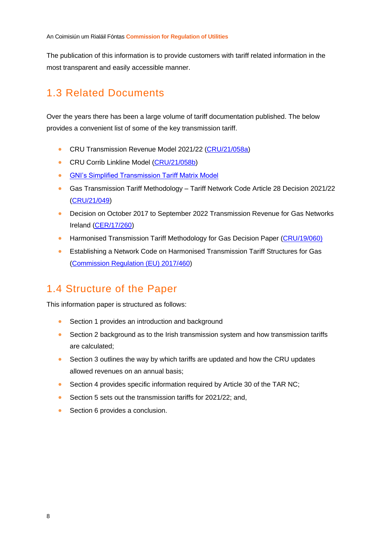The publication of this information is to provide customers with tariff related information in the most transparent and easily accessible manner.

### <span id="page-8-0"></span>1.3 Related Documents

Over the years there has been a large volume of tariff documentation published. The below provides a convenient list of some of the key transmission tariff.

- CRU Transmission Revenue Model 2021/22 [\(CRU/21/058a\)](https://www.cru.ie/document_group/copy-of-gas-networks-ireland-allowed-revenues-and-gas-transmission-tariffs/)
- CRU Corrib Linkline Model [\(CRU/21/058b\)](https://www.cru.ie/document_group/copy-of-gas-networks-ireland-allowed-revenues-and-gas-transmission-tariffs/)
- [GNI's Simplified Transmission Tariff Matrix Model](https://www.gasnetworks.ie/corporate/gas-regulation/tariffs/transmission-tariffs/simplified-tariff-model/)
- Gas Transmission Tariff Methodology Tariff Network Code Article 28 Decision 2021/22 [\(CRU/21/049\)](https://www.cru.ie/wp-content/uploads/2021/04/CRU21049-Gas-Transmission-Tariff-Methodology-Tariff-Network-Code-Article-28-Decision-Gas-year-2021.22.pdf)
- Decision on October 2017 to September 2022 Transmission Revenue for Gas Networks Ireland [\(CER/17/260\)](https://www.cru.ie/wp-content/uploads/2017/06/CER17260-PC4-CER-Transmission-Decision-Paper.pdf)
- Harmonised Transmission Tariff Methodology for Gas Decision Paper [\(CRU/19/060\)](https://www.cru.ie/wp-content/uploads/2019/06/CRU19060-Harmonised-Transmission-Tariff-Methodology-for-Gas-Decision-Paper.pdf)
- Establishing a Network Code on Harmonised Transmission Tariff Structures for Gas [\(Commission Regulation \(EU\) 2017/460\)](https://eur-lex.europa.eu/legal-content/EN/TXT/PDF/?uri=CELEX:32017R0460&from=EN)

## <span id="page-8-1"></span>1.4 Structure of the Paper

This information paper is structured as follows:

- Section 1 provides an introduction and background
- Section 2 background as to the Irish transmission system and how transmission tariffs are calculated;
- Section 3 outlines the way by which tariffs are updated and how the CRU updates allowed revenues on an annual basis;
- Section 4 provides specific information required by Article 30 of the TAR NC;
- Section 5 sets out the transmission tariffs for 2021/22; and,
- Section 6 provides a conclusion.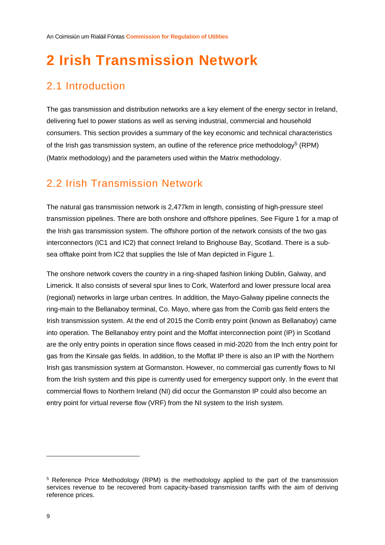## <span id="page-9-0"></span>**2 Irish Transmission Network**

## <span id="page-9-1"></span>2.1 Introduction

The gas transmission and distribution networks are a key element of the energy sector in Ireland, delivering fuel to power stations as well as serving industrial, commercial and household consumers. This section provides a summary of the key economic and technical characteristics of the Irish gas transmission system, an outline of the reference price methodology<sup>5</sup> (RPM) (Matrix methodology) and the parameters used within the Matrix methodology.

### <span id="page-9-2"></span>2.2 Irish Transmission Network

The natural gas transmission network is 2,477km in length, consisting of high-pressure steel transmission pipelines. There are both onshore and offshore pipelines. See [Figure 1](#page-10-1) for a map of the Irish gas transmission system. The offshore portion of the network consists of the two gas interconnectors (IC1 and IC2) that connect Ireland to Brighouse Bay, Scotland. There is a subsea offtake point from IC2 that supplies the Isle of Man depicted in [Figure 1.](#page-10-1)

The onshore network covers the country in a ring-shaped fashion linking Dublin, Galway, and Limerick. It also consists of several spur lines to Cork, Waterford and lower pressure local area (regional) networks in large urban centres. In addition, the Mayo-Galway pipeline connects the ring-main to the Bellanaboy terminal, Co. Mayo, where gas from the Corrib gas field enters the Irish transmission system. At the end of 2015 the Corrib entry point (known as Bellanaboy) came into operation. The Bellanaboy entry point and the Moffat interconnection point (IP) in Scotland are the only entry points in operation since flows ceased in mid-2020 from the Inch entry point for gas from the Kinsale gas fields. In addition, to the Moffat IP there is also an IP with the Northern Irish gas transmission system at Gormanston. However, no commercial gas currently flows to NI from the Irish system and this pipe is currently used for emergency support only. In the event that commercial flows to Northern Ireland (NI) did occur the Gormanston IP could also become an entry point for virtual reverse flow (VRF) from the NI system to the Irish system.

<sup>5</sup> Reference Price Methodology (RPM) is the methodology applied to the part of the transmission services revenue to be recovered from capacity-based transmission tariffs with the aim of deriving reference prices.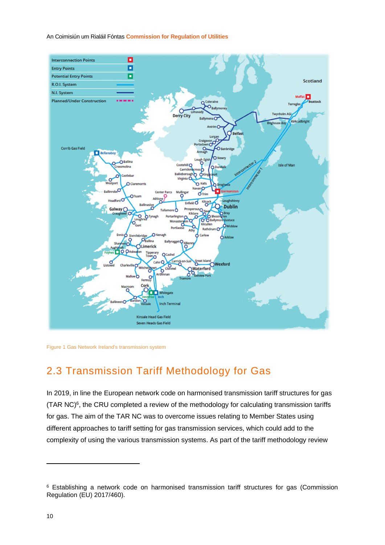

<span id="page-10-1"></span><span id="page-10-0"></span>Figure 1 Gas Network Ireland's transmission system

## 2.3 Transmission Tariff Methodology for Gas

In 2019, in line the European network code on harmonised transmission tariff structures for gas  $(TAR NC)<sup>6</sup>$ , the CRU completed a review of the methodology for calculating transmission tariffs for gas. The aim of the TAR NC was to overcome issues relating to Member States using different approaches to tariff setting for gas transmission services, which could add to the complexity of using the various transmission systems. As part of the tariff methodology review

<sup>&</sup>lt;sup>6</sup> Establishing a network code on harmonised transmission tariff structures for gas (Commission Regulation (EU) 2017/460).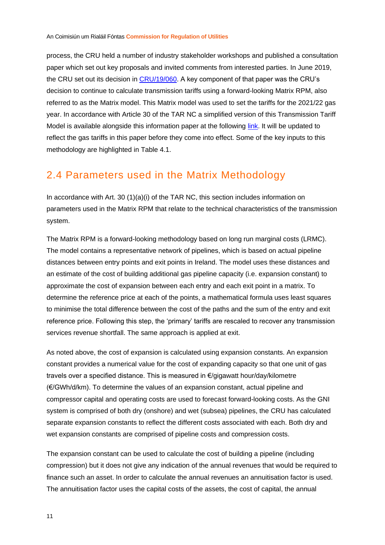<span id="page-11-1"></span>process, the CRU held a number of industry stakeholder workshops and published a consultation paper which set out key proposals and invited comments from interested parties. In June 2019, the CRU set out its decision in [CRU/19/060.](https://www.cru.ie/wp-content/uploads/2019/06/CRU19060-Harmonised-Transmission-Tariff-Methodology-for-Gas-Decision-Paper.pdf) A key component of that paper was the CRU's decision to continue to calculate transmission tariffs using a forward-looking Matrix RPM, also referred to as the Matrix model. This Matrix model was used to set the tariffs for the 2021/22 gas year. In accordance with Article 30 of the TAR NC a simplified version of this Transmission Tariff Model is available alongside this information paper at the following [link.](https://www.gasnetworks.ie/corporate/gas-regulation/tariffs/transmission-tariffs/simplified-tariff-model/) It will be updated to reflect the gas tariffs in this paper before they come into effect. Some of the key inputs to this methodology are highlighted in [Table 4.1.](#page-21-0)

### <span id="page-11-0"></span>2.4 Parameters used in the Matrix Methodology

In accordance with Art. 30 (1)(a)(i) of the TAR NC, this section includes information on parameters used in the Matrix RPM that relate to the technical characteristics of the transmission system.

The Matrix RPM is a forward-looking methodology based on long run marginal costs (LRMC). The model contains a representative network of pipelines, which is based on actual pipeline distances between entry points and exit points in Ireland. The model uses these distances and an estimate of the cost of building additional gas pipeline capacity (i.e. expansion constant) to approximate the cost of expansion between each entry and each exit point in a matrix. To determine the reference price at each of the points, a mathematical formula uses least squares to minimise the total difference between the cost of the paths and the sum of the entry and exit reference price. Following this step, the 'primary' tariffs are rescaled to recover any transmission services revenue shortfall. The same approach is applied at exit.

As noted above, the cost of expansion is calculated using expansion constants. An expansion constant provides a numerical value for the cost of expanding capacity so that one unit of gas travels over a specified distance. This is measured in €/gigawatt hour/day/kilometre (€/GWh/d/km). To determine the values of an expansion constant, actual pipeline and compressor capital and operating costs are used to forecast forward-looking costs. As the GNI system is comprised of both dry (onshore) and wet (subsea) pipelines, the CRU has calculated separate expansion constants to reflect the different costs associated with each. Both dry and wet expansion constants are comprised of pipeline costs and compression costs.

The expansion constant can be used to calculate the cost of building a pipeline (including compression) but it does not give any indication of the annual revenues that would be required to finance such an asset. In order to calculate the annual revenues an annuitisation factor is used. The annuitisation factor uses the capital costs of the assets, the cost of capital, the annual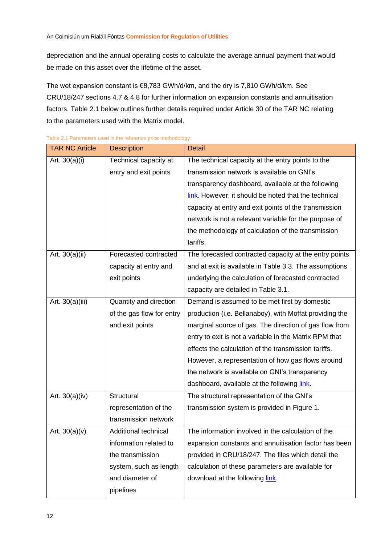depreciation and the annual operating costs to calculate the average annual payment that would be made on this asset over the lifetime of the asset.

The wet expansion constant is €8,783 GWh/d/km, and the dry is 7,810 GWh/d/km. See CRU/18/247 sections 4.7 & 4.8 for further information on expansion constants and annuitisation factors. [Table 2.1](#page-12-0) below outlines further details required under Article 30 of the TAR NC relating to the parameters used with the Matrix model.

| <b>TAR NC Article</b> | <b>Description</b>        | <b>Detail</b>                                           |
|-----------------------|---------------------------|---------------------------------------------------------|
| Art. $30(a)(i)$       | Technical capacity at     | The technical capacity at the entry points to the       |
|                       | entry and exit points     | transmission network is available on GNI's              |
|                       |                           | transparency dashboard, available at the following      |
|                       |                           | link. However, it should be noted that the technical    |
|                       |                           | capacity at entry and exit points of the transmission   |
|                       |                           | network is not a relevant variable for the purpose of   |
|                       |                           | the methodology of calculation of the transmission      |
|                       |                           | tariffs.                                                |
| Art. 30(a)(ii)        | Forecasted contracted     | The forecasted contracted capacity at the entry points  |
|                       | capacity at entry and     | and at exit is available in Table 3.3. The assumptions  |
|                       | exit points               | underlying the calculation of forecasted contracted     |
|                       |                           | capacity are detailed in Table 3.1.                     |
| Art. 30(a)(iii)       | Quantity and direction    | Demand is assumed to be met first by domestic           |
|                       | of the gas flow for entry | production (i.e. Bellanaboy), with Moffat providing the |
|                       | and exit points           | marginal source of gas. The direction of gas flow from  |
|                       |                           | entry to exit is not a variable in the Matrix RPM that  |
|                       |                           | effects the calculation of the transmission tariffs.    |
|                       |                           | However, a representation of how gas flows around       |
|                       |                           | the network is available on GNI's transparency          |
|                       |                           | dashboard, available at the following link.             |
| Art. 30(a)(iv)        | Structural                | The structural representation of the GNI's              |
|                       | representation of the     | transmission system is provided in Figure 1.            |
|                       | transmission network      |                                                         |
| Art. $30(a)(v)$       | Additional technical      | The information involved in the calculation of the      |
|                       | information related to    | expansion constants and annuitisation factor has been   |
|                       | the transmission          | provided in CRU/18/247. The files which detail the      |
|                       | system, such as length    | calculation of these parameters are available for       |
|                       | and diameter of           | download at the following link.                         |
|                       | pipelines                 |                                                         |

<span id="page-12-0"></span>Table 2.1 Parameters used in the reference price methodology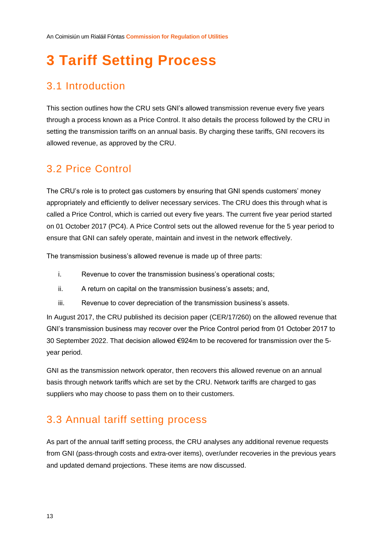## <span id="page-13-0"></span>**3 Tariff Setting Process**

## <span id="page-13-1"></span>3.1 Introduction

This section outlines how the CRU sets GNI's allowed transmission revenue every five years through a process known as a Price Control. It also details the process followed by the CRU in setting the transmission tariffs on an annual basis. By charging these tariffs, GNI recovers its allowed revenue, as approved by the CRU.

### <span id="page-13-2"></span>3.2 Price Control

The CRU's role is to protect gas customers by ensuring that GNI spends customers' money appropriately and efficiently to deliver necessary services. The CRU does this through what is called a Price Control, which is carried out every five years. The current five year period started on 01 October 2017 (PC4). A Price Control sets out the allowed revenue for the 5 year period to ensure that GNI can safely operate, maintain and invest in the network effectively.

The transmission business's allowed revenue is made up of three parts:

- i. Revenue to cover the transmission business's operational costs;
- ii. A return on capital on the transmission business's assets; and,
- iii. Revenue to cover depreciation of the transmission business's assets.

In August 2017, the CRU published its decision paper (CER/17/260) on the allowed revenue that GNI's transmission business may recover over the Price Control period from 01 October 2017 to 30 September 2022. That decision allowed €924m to be recovered for transmission over the 5 year period.

GNI as the transmission network operator, then recovers this allowed revenue on an annual basis through network tariffs which are set by the CRU. Network tariffs are charged to gas suppliers who may choose to pass them on to their customers.

### <span id="page-13-3"></span>3.3 Annual tariff setting process

As part of the annual tariff setting process, the CRU analyses any additional revenue requests from GNI (pass-through costs and extra-over items), over/under recoveries in the previous years and updated demand projections. These items are now discussed.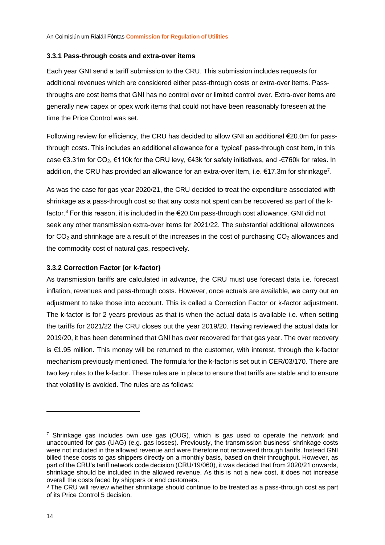#### <span id="page-14-2"></span><span id="page-14-0"></span>**3.3.1 Pass-through costs and extra-over items**

Each year GNI send a tariff submission to the CRU. This submission includes requests for additional revenues which are considered either pass-through costs or extra-over items. Passthroughs are cost items that GNI has no control over or limited control over. Extra-over items are generally new capex or opex work items that could not have been reasonably foreseen at the time the Price Control was set.

<span id="page-14-3"></span>Following review for efficiency, the CRU has decided to allow GNI an additional €20.0m for passthrough costs. This includes an additional allowance for a 'typical' pass-through cost item, in this case €3.31m for CO<sub>2</sub>, €110k for the CRU levy, €43k for safety initiatives, and -€760k for rates. In addition, the CRU has provided an allowance for an extra-over item, i.e. €17.3m for shrinkage<sup>7</sup>.

As was the case for gas year 2020/21, the CRU decided to treat the expenditure associated with shrinkage as a pass-through cost so that any costs not spent can be recovered as part of the kfactor.<sup>8</sup> For this reason, it is included in the  $\epsilon$ 20.0m pass-through cost allowance. GNI did not seek any other transmission extra-over items for 2021/22. The substantial additional allowances for  $CO<sub>2</sub>$  and shrinkage are a result of the increases in the cost of purchasing  $CO<sub>2</sub>$  allowances and the commodity cost of natural gas, respectively.

#### <span id="page-14-1"></span>**3.3.2 Correction Factor (or k-factor)**

As transmission tariffs are calculated in advance, the CRU must use forecast data i.e. forecast inflation, revenues and pass-through costs. However, once actuals are available, we carry out an adjustment to take those into account. This is called a Correction Factor or k-factor adjustment. The k-factor is for 2 years previous as that is when the actual data is available i.e. when setting the tariffs for 2021/22 the CRU closes out the year 2019/20. Having reviewed the actual data for 2019/20, it has been determined that GNI has over recovered for that gas year. The over recovery is €1.95 million. This money will be returned to the customer, with interest, through the k-factor mechanism previously mentioned. The formula for the k-factor is set out in CER/03/170. There are two key rules to the k-factor. These rules are in place to ensure that tariffs are stable and to ensure that volatility is avoided. The rules are as follows:

<sup>&</sup>lt;sup>7</sup> Shrinkage gas includes own use gas (OUG), which is gas used to operate the network and unaccounted for gas (UAG) (e.g. gas losses). Previously, the transmission business' shrinkage costs were not included in the allowed revenue and were therefore not recovered through tariffs. Instead GNI billed these costs to gas shippers directly on a monthly basis, based on their throughput. However, as part of the CRU's tariff network code decision (CRU/19/060), it was decided that from 2020/21 onwards, shrinkage should be included in the allowed revenue. As this is not a new cost, it does not increase overall the costs faced by shippers or end customers.

<sup>&</sup>lt;sup>8</sup> The CRU will review whether shrinkage should continue to be treated as a pass-through cost as part of its Price Control 5 decision.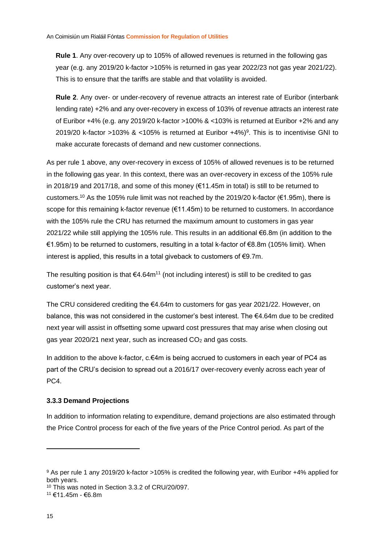**Rule 1**. Any over-recovery up to 105% of allowed revenues is returned in the following gas year (e.g. any 2019/20 k-factor >105% is returned in gas year 2022/23 not gas year 2021/22). This is to ensure that the tariffs are stable and that volatility is avoided.

**Rule 2**. Any over- or under-recovery of revenue attracts an interest rate of Euribor (interbank lending rate) +2% and any over-recovery in excess of 103% of revenue attracts an interest rate of Euribor +4% (e.g. any 2019/20 k-factor >100% & <103% is returned at Euribor +2% and any 2019/20 k-factor >103% & <105% is returned at Euribor  $+4\%)$ <sup>9</sup>. This is to incentivise GNI to make accurate forecasts of demand and new customer connections.

As per rule 1 above, any over-recovery in excess of 105% of allowed revenues is to be returned in the following gas year. In this context, there was an over-recovery in excess of the 105% rule in 2018/19 and 2017/18, and some of this money (€11.45m in total) is still to be returned to customers.<sup>10</sup> As the 105% rule limit was not reached by the 2019/20 k-factor ( $\epsilon$ 1.95m), there is scope for this remaining k-factor revenue (€11.45m) to be returned to customers. In accordance with the 105% rule the CRU has returned the maximum amount to customers in gas year 2021/22 while still applying the 105% rule. This results in an additional €6.8m (in addition to the €1.95m) to be returned to customers, resulting in a total k-factor of €8.8m (105% limit). When interest is applied, this results in a total giveback to customers of €9.7m.

The resulting position is that  $64.64m^{11}$  (not including interest) is still to be credited to gas customer's next year.

The CRU considered crediting the  $\epsilon$ 4.64m to customers for gas year 2021/22. However, on balance, this was not considered in the customer's best interest. The €4.64m due to be credited next year will assist in offsetting some upward cost pressures that may arise when closing out gas year 2020/21 next year, such as increased  $CO<sub>2</sub>$  and gas costs.

In addition to the above k-factor, c.€4m is being accrued to customers in each year of PC4 as part of the CRU's decision to spread out a 2016/17 over-recovery evenly across each year of PC<sub>4</sub>

#### <span id="page-15-0"></span>**3.3.3 Demand Projections**

In addition to information relating to expenditure, demand projections are also estimated through the Price Control process for each of the five years of the Price Control period. As part of the

<sup>9</sup> As per rule 1 any 2019/20 k-factor >105% is credited the following year, with Euribor +4% applied for both years.

<sup>10</sup> This was noted in Section 3.3.2 of CRU/20/097.

<sup>11</sup> €11.45m - €6.8m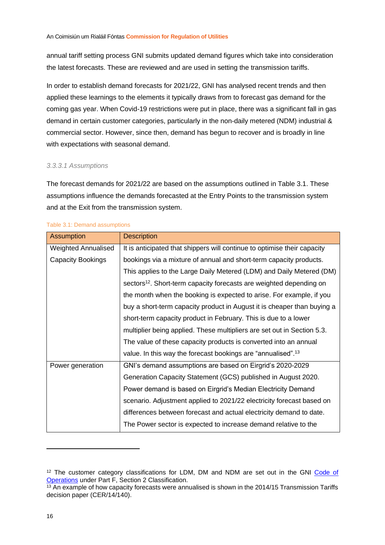<span id="page-16-1"></span>annual tariff setting process GNI submits updated demand figures which take into consideration the latest forecasts. These are reviewed and are used in setting the transmission tariffs.

In order to establish demand forecasts for 2021/22, GNI has analysed recent trends and then applied these learnings to the elements it typically draws from to forecast gas demand for the coming gas year. When Covid-19 restrictions were put in place, there was a significant fall in gas demand in certain customer categories, particularly in the non-daily metered (NDM) industrial & commercial sector. However, since then, demand has begun to recover and is broadly in line with expectations with seasonal demand.

#### *3.3.3.1 Assumptions*

The forecast demands for 2021/22 are based on the assumptions outlined in Table 3.1. These assumptions influence the demands forecasted at the Entry Points to the transmission system and at the Exit from the transmission system.

| <b>Assumption</b>          | <b>Description</b>                                                              |
|----------------------------|---------------------------------------------------------------------------------|
| <b>Weighted Annualised</b> | It is anticipated that shippers will continue to optimise their capacity        |
| Capacity Bookings          | bookings via a mixture of annual and short-term capacity products.              |
|                            | This applies to the Large Daily Metered (LDM) and Daily Metered (DM)            |
|                            | sectors <sup>12</sup> . Short-term capacity forecasts are weighted depending on |
|                            | the month when the booking is expected to arise. For example, if you            |
|                            | buy a short-term capacity product in August it is cheaper than buying a         |
|                            | short-term capacity product in February. This is due to a lower                 |
|                            | multiplier being applied. These multipliers are set out in Section 5.3.         |
|                            | The value of these capacity products is converted into an annual                |
|                            | value. In this way the forecast bookings are "annualised". <sup>13</sup>        |
| Power generation           | GNI's demand assumptions are based on Eirgrid's 2020-2029                       |
|                            | Generation Capacity Statement (GCS) published in August 2020.                   |
|                            | Power demand is based on Eirgrid's Median Electricity Demand                    |
|                            | scenario. Adjustment applied to 2021/22 electricity forecast based on           |
|                            | differences between forecast and actual electricity demand to date.             |
|                            | The Power sector is expected to increase demand relative to the                 |

#### <span id="page-16-0"></span>Table 3.1: Demand assumptions

<sup>&</sup>lt;sup>12</sup> The customer category classifications for LDM. DM and NDM are set out in the GNI Code of [Operations](https://www.gasnetworks.ie/corporate/gas-regulation/service-for-suppliers/code-of-operations/Gas-Networks-Ireland-Consolidated-Code-of-Operations-V5.02-April-2018.pdf) under Part F, Section 2 Classification.

 $\frac{13}{13}$  An example of how capacity forecasts were annualised is shown in the 2014/15 Transmission Tariffs decision paper [\(CER/14/140\)](https://www.cru.ie/wp-content/uploads/2014/07/CER14140-Decision-on-BGN-Allowed-Revenies-and-Gas-Transmission-Tariffs-for-2014-15.pdf).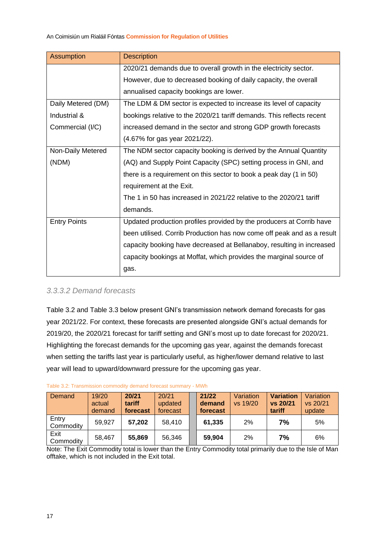| <b>Assumption</b>   | <b>Description</b>                                                     |
|---------------------|------------------------------------------------------------------------|
|                     | 2020/21 demands due to overall growth in the electricity sector.       |
|                     | However, due to decreased booking of daily capacity, the overall       |
|                     | annualised capacity bookings are lower.                                |
| Daily Metered (DM)  | The LDM & DM sector is expected to increase its level of capacity      |
| Industrial &        | bookings relative to the 2020/21 tariff demands. This reflects recent  |
| Commercial (I/C)    | increased demand in the sector and strong GDP growth forecasts         |
|                     | (4.67% for gas year 2021/22).                                          |
| Non-Daily Metered   | The NDM sector capacity booking is derived by the Annual Quantity      |
| (NDM)               | (AQ) and Supply Point Capacity (SPC) setting process in GNI, and       |
|                     | there is a requirement on this sector to book a peak day (1 in 50)     |
|                     | requirement at the Exit.                                               |
|                     | The 1 in 50 has increased in 2021/22 relative to the 2020/21 tariff    |
|                     | demands.                                                               |
| <b>Entry Points</b> | Updated production profiles provided by the producers at Corrib have   |
|                     | been utilised. Corrib Production has now come off peak and as a result |
|                     | capacity booking have decreased at Bellanaboy, resulting in increased  |
|                     | capacity bookings at Moffat, which provides the marginal source of     |
|                     | gas.                                                                   |

#### *3.3.3.2 Demand forecasts*

[Table 3.2](#page-17-0) and [Table 3.3](#page-18-0) below present GNI's transmission network demand forecasts for gas year 2021/22. For context, these forecasts are presented alongside GNI's actual demands for 2019/20, the 2020/21 forecast for tariff setting and GNI's most up to date forecast for 2020/21. Highlighting the forecast demands for the upcoming gas year, against the demands forecast when setting the tariffs last year is particularly useful, as higher/lower demand relative to last year will lead to upward/downward pressure for the upcoming gas year.

| Demand             | 19/20  | 20/21    | 20/21    | 21/22    | Variation | <b>Variation</b> | Variation |
|--------------------|--------|----------|----------|----------|-----------|------------------|-----------|
|                    | actual | tariff   | updated  | demand   | vs 19/20  | vs 20/21         | vs 20/21  |
|                    | demand | forecast | forecast | forecast |           | tariff           | update    |
| Entry<br>Commodity | 59.927 | 57,202   | 58,410   | 61,335   | 2%        | 7%               | 5%        |
| Exit<br>Commodity  | 58,467 | 55,869   | 56,346   | 59,904   | 2%        | 7%               | 6%        |

#### <span id="page-17-0"></span>Table 3.2: Transmission commodity demand forecast summary - MWh

Note: The Exit Commodity total is lower than the Entry Commodity total primarily due to the Isle of Man offtake, which is not included in the Exit total.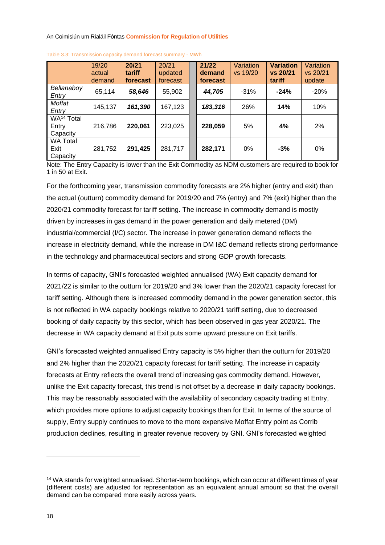|                                             | 19/20<br>actual<br>demand | 20/21<br>tariff<br>forecast | 20/21<br>updated<br>forecast | 21/22<br>demand<br>forecast | Variation<br>vs 19/20 | <b>Variation</b><br>vs 20/21<br>tariff | Variation<br>vs 20/21<br>update |
|---------------------------------------------|---------------------------|-----------------------------|------------------------------|-----------------------------|-----------------------|----------------------------------------|---------------------------------|
| Bellanaboy<br>Entry                         | 65,114                    | 58,646                      | 55,902                       | 44,705                      | $-31%$                | $-24%$                                 | $-20%$                          |
| Moffat<br>Entry                             | 145,137                   | 161,390                     | 167,123                      | 183,316                     | 26%                   | 14%                                    | 10%                             |
| WA <sup>14</sup> Total<br>Entry<br>Capacity | 216,786                   | 220,061                     | 223,025                      | 228,059                     | 5%                    | 4%                                     | 2%                              |
| <b>WA Total</b><br>Exit<br>Capacity         | 281,752                   | 291,425                     | 281,717                      | 282,171                     | 0%                    | $-3%$                                  | 0%                              |

<span id="page-18-0"></span>

| Table 3.3: Transmission capacity demand forecast summary - MWh |  |  |  |  |
|----------------------------------------------------------------|--|--|--|--|
|----------------------------------------------------------------|--|--|--|--|

Note: The Entry Capacity is lower than the Exit Commodity as NDM customers are required to book for 1 in 50 at Exit.

For the forthcoming year, transmission commodity forecasts are 2% higher (entry and exit) than the actual (outturn) commodity demand for 2019/20 and 7% (entry) and 7% (exit) higher than the 2020/21 commodity forecast for tariff setting. The increase in commodity demand is mostly driven by increases in gas demand in the power generation and daily metered (DM) industrial/commercial (I/C) sector. The increase in power generation demand reflects the increase in electricity demand, while the increase in DM I&C demand reflects strong performance in the technology and pharmaceutical sectors and strong GDP growth forecasts.

In terms of capacity, GNI's forecasted weighted annualised (WA) Exit capacity demand for 2021/22 is similar to the outturn for 2019/20 and 3% lower than the 2020/21 capacity forecast for tariff setting. Although there is increased commodity demand in the power generation sector, this is not reflected in WA capacity bookings relative to 2020/21 tariff setting, due to decreased booking of daily capacity by this sector, which has been observed in gas year 2020/21. The decrease in WA capacity demand at Exit puts some upward pressure on Exit tariffs.

GNI's forecasted weighted annualised Entry capacity is 5% higher than the outturn for 2019/20 and 2% higher than the 2020/21 capacity forecast for tariff setting. The increase in capacity forecasts at Entry reflects the overall trend of increasing gas commodity demand. However, unlike the Exit capacity forecast, this trend is not offset by a decrease in daily capacity bookings. This may be reasonably associated with the availability of secondary capacity trading at Entry, which provides more options to adjust capacity bookings than for Exit. In terms of the source of supply, Entry supply continues to move to the more expensive Moffat Entry point as Corrib production declines, resulting in greater revenue recovery by GNI. GNI's forecasted weighted

<sup>&</sup>lt;sup>14</sup> WA stands for weighted annualised. Shorter-term bookings, which can occur at different times of year (different costs) are adjusted for representation as an equivalent annual amount so that the overall demand can be compared more easily across years.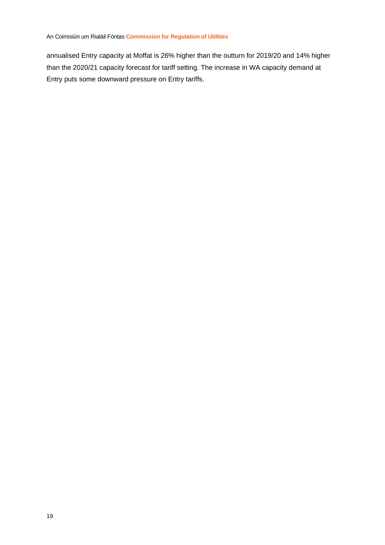annualised Entry capacity at Moffat is 26% higher than the outturn for 2019/20 and 14% higher than the 2020/21 capacity forecast for tariff setting. The increase in WA capacity demand at Entry puts some downward pressure on Entry tariffs.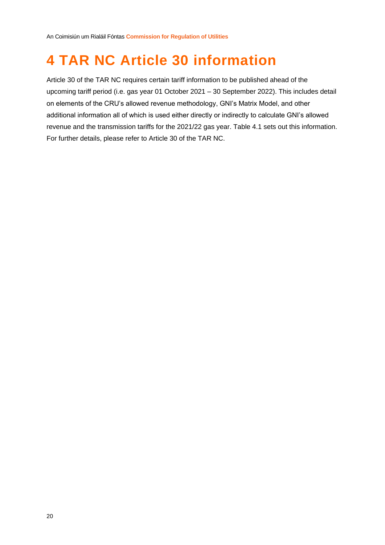## <span id="page-20-0"></span>**4 TAR NC Article 30 information**

Article 30 of the TAR NC requires certain tariff information to be published ahead of the upcoming tariff period (i.e. gas year 01 October 2021 – 30 September 2022). This includes detail on elements of the CRU's allowed revenue methodology, GNI's Matrix Model, and other additional information all of which is used either directly or indirectly to calculate GNI's allowed revenue and the transmission tariffs for the 2021/22 gas year. [Table 4.1](#page-21-0) sets out this information. For further details, please refer to Article 30 of the TAR NC.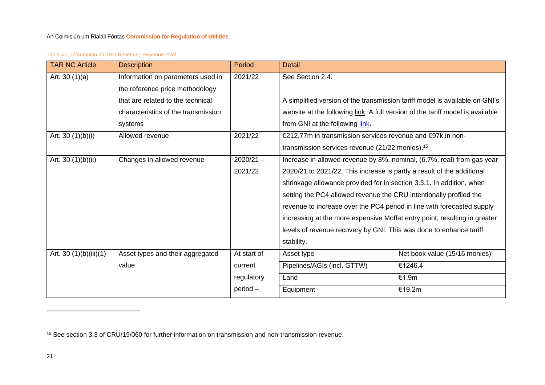#### Table 4.1: Information on TSO Revenue - Revenue level

| <b>TAR NC Article</b>  | <b>Description</b>                  | Period      | <b>Detail</b>                                                                  |                               |  |
|------------------------|-------------------------------------|-------------|--------------------------------------------------------------------------------|-------------------------------|--|
| Art. 30 $(1)(a)$       | Information on parameters used in   | 2021/22     | See Section 2.4.                                                               |                               |  |
|                        | the reference price methodology     |             |                                                                                |                               |  |
|                        | that are related to the technical   |             | A simplified version of the transmission tariff model is available on GNI's    |                               |  |
|                        | characteristics of the transmission |             | website at the following link. A full version of the tariff model is available |                               |  |
|                        | systems                             |             | from GNI at the following link.                                                |                               |  |
| Art. 30 $(1)(b)(i)$    | Allowed revenue                     | 2021/22     | €212.77m in transmission services revenue and €97k in non-                     |                               |  |
|                        |                                     |             | transmission services revenue (21/22 monies). <sup>15</sup>                    |                               |  |
| Art. 30 (1)(b)(ii)     | Changes in allowed revenue          | $2020/21 -$ | Increase in allowed revenue by 8%, nominal, (6.7%, real) from gas year         |                               |  |
|                        |                                     | 2021/22     | 2020/21 to 2021/22. This increase is partly a result of the additional         |                               |  |
|                        |                                     |             | shrinkage allowance provided for in section 3.3.1. In addition, when           |                               |  |
|                        |                                     |             | setting the PC4 allowed revenue the CRU intentionally profiled the             |                               |  |
|                        |                                     |             | revenue to increase over the PC4 period in line with forecasted supply         |                               |  |
|                        |                                     |             | increasing at the more expensive Moffat entry point, resulting in greater      |                               |  |
|                        |                                     |             | levels of revenue recovery by GNI. This was done to enhance tariff             |                               |  |
|                        |                                     |             | stability.                                                                     |                               |  |
| Art. 30 (1)(b)(iii)(1) | Asset types and their aggregated    | At start of | Asset type                                                                     | Net book value (15/16 monies) |  |
|                        | value                               | current     | Pipelines/AGIs (incl. GTTW)                                                    | €1246.4                       |  |
|                        |                                     | regulatory  | Land                                                                           | €1.9m                         |  |
|                        |                                     | $period -$  | Equipment                                                                      | €19.2m                        |  |

<span id="page-21-0"></span><sup>15</sup> See section 3.3 of CRU/19/060 for further information on transmission and non-transmission revenue.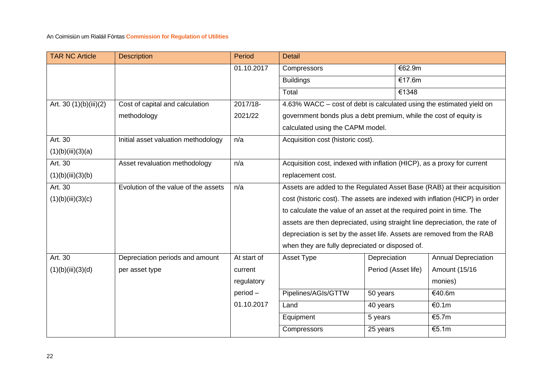| <b>TAR NC Article</b>  | <b>Description</b>                   | Period      | <b>Detail</b>                                                               |                     |                            |
|------------------------|--------------------------------------|-------------|-----------------------------------------------------------------------------|---------------------|----------------------------|
|                        |                                      | 01.10.2017  | Compressors                                                                 | €62.9m              |                            |
|                        |                                      |             | <b>Buildings</b>                                                            | €17.6m              |                            |
|                        |                                      |             | Total                                                                       | €1348               |                            |
| Art. 30 (1)(b)(iii)(2) | Cost of capital and calculation      | 2017/18-    | 4.63% WACC – cost of debt is calculated using the estimated yield on        |                     |                            |
|                        | methodology                          | 2021/22     | government bonds plus a debt premium, while the cost of equity is           |                     |                            |
|                        |                                      |             | calculated using the CAPM model.                                            |                     |                            |
| Art. 30                | Initial asset valuation methodology  | n/a         | Acquisition cost (historic cost).                                           |                     |                            |
| (1)(b)(iii)(3)(a)      |                                      |             |                                                                             |                     |                            |
| Art. 30                | Asset revaluation methodology        | n/a         | Acquisition cost, indexed with inflation (HICP), as a proxy for current     |                     |                            |
| (1)(b)(iii)(3)(b)      |                                      |             | replacement cost.                                                           |                     |                            |
| Art. 30                | Evolution of the value of the assets | n/a         | Assets are added to the Regulated Asset Base (RAB) at their acquisition     |                     |                            |
| (1)(b)(iii)(3)(c)      |                                      |             | cost (historic cost). The assets are indexed with inflation (HICP) in order |                     |                            |
|                        |                                      |             | to calculate the value of an asset at the required point in time. The       |                     |                            |
|                        |                                      |             | assets are then depreciated, using straight line depreciation, the rate of  |                     |                            |
|                        |                                      |             | depreciation is set by the asset life. Assets are removed from the RAB      |                     |                            |
|                        |                                      |             | when they are fully depreciated or disposed of.                             |                     |                            |
| Art. 30                | Depreciation periods and amount      | At start of | Asset Type                                                                  | Depreciation        | <b>Annual Depreciation</b> |
| (1)(b)(iii)(3)(d)      | per asset type                       | current     |                                                                             | Period (Asset life) | Amount (15/16              |
|                        |                                      | regulatory  |                                                                             |                     | monies)                    |
|                        |                                      | period-     | Pipelines/AGIs/GTTW                                                         | 50 years            | €40.6m                     |
|                        |                                      | 01.10.2017  | Land                                                                        | 40 years            | €0.1m                      |
|                        |                                      |             | Equipment                                                                   | 5 years             | €5.7m                      |
|                        |                                      |             | Compressors                                                                 | 25 years            | €5.1m                      |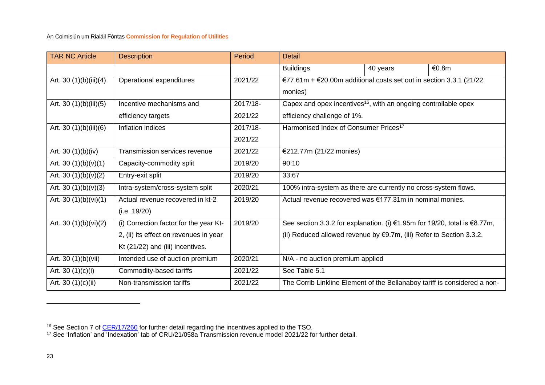| <b>TAR NC Article</b>  | <b>Description</b>                     | Period   | <b>Detail</b>                                                                  |          |       |
|------------------------|----------------------------------------|----------|--------------------------------------------------------------------------------|----------|-------|
|                        |                                        |          | <b>Buildings</b>                                                               | 40 years | €0.8m |
| Art. 30 (1)(b)(iii)(4) | Operational expenditures               | 2021/22  | €77.61m + €20.00m additional costs set out in section 3.3.1 (21/22             |          |       |
|                        |                                        |          | monies)                                                                        |          |       |
| Art. 30 (1)(b)(iii)(5) | Incentive mechanisms and               | 2017/18- | Capex and opex incentives <sup>16</sup> , with an ongoing controllable opex    |          |       |
|                        | efficiency targets                     | 2021/22  | efficiency challenge of 1%.                                                    |          |       |
| Art. 30 (1)(b)(iii)(6) | Inflation indices                      | 2017/18- | Harmonised Index of Consumer Prices <sup>17</sup>                              |          |       |
|                        |                                        | 2021/22  |                                                                                |          |       |
| Art. 30 $(1)(b)(iv)$   | Transmission services revenue          | 2021/22  | €212.77m (21/22 monies)                                                        |          |       |
| Art. 30 $(1)(b)(v)(1)$ | Capacity-commodity split               | 2019/20  | 90:10                                                                          |          |       |
| Art. 30 $(1)(b)(v)(2)$ | Entry-exit split                       | 2019/20  | 33:67                                                                          |          |       |
| Art. 30 $(1)(b)(v)(3)$ | Intra-system/cross-system split        | 2020/21  | 100% intra-system as there are currently no cross-system flows.                |          |       |
| Art. 30 (1)(b)(vi)(1)  | Actual revenue recovered in kt-2       | 2019/20  | Actual revenue recovered was €177.31m in nominal monies.                       |          |       |
|                        | (i.e. 19/20)                           |          |                                                                                |          |       |
| Art. 30 (1)(b)(vi)(2)  | (i) Correction factor for the year Kt- | 2019/20  | See section 3.3.2 for explanation. (i) €1.95m for 19/20, total is €8.77m,      |          |       |
|                        | 2, (ii) its effect on revenues in year |          | (ii) Reduced allowed revenue by $\epsilon$ 9.7m, (iii) Refer to Section 3.3.2. |          |       |
|                        | Kt (21/22) and (iii) incentives.       |          |                                                                                |          |       |
| Art. 30 (1)(b)(vii)    | Intended use of auction premium        | 2020/21  | N/A - no auction premium applied                                               |          |       |
| Art. 30 $(1)(c)(i)$    | Commodity-based tariffs                | 2021/22  | See Table 5.1                                                                  |          |       |
| Art. 30 (1)(c)(ii)     | Non-transmission tariffs               | 2021/22  | The Corrib Linkline Element of the Bellanaboy tariff is considered a non-      |          |       |

<sup>&</sup>lt;sup>16</sup> See Section 7 of [CER/17/260](https://www.cru.ie/wp-content/uploads/2017/06/CER17260-PC4-CER-Transmission-Decision-Paper.pdf) for further detail regarding the incentives applied to the TSO.

<sup>17</sup> See 'Inflation' and 'Indexation' tab of CRU/21/058a Transmission revenue model 2021/22 for further detail.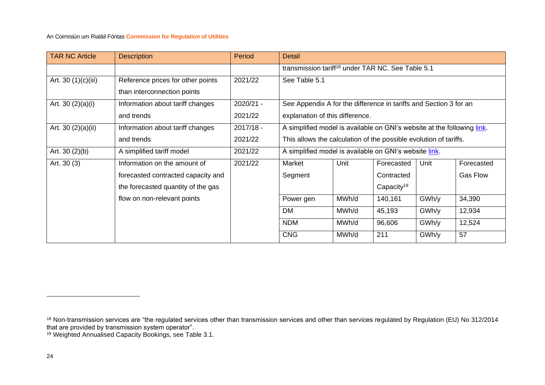| <b>TAR NC Article</b> | <b>Description</b>                 | Period      | <b>Detail</b>                                                           |       |                        |       |                 |
|-----------------------|------------------------------------|-------------|-------------------------------------------------------------------------|-------|------------------------|-------|-----------------|
|                       |                                    |             | transmission tariff <sup>18</sup> under TAR NC. See Table 5.1           |       |                        |       |                 |
| Art. 30 (1)(c)(iii)   | Reference prices for other points  | 2021/22     | See Table 5.1                                                           |       |                        |       |                 |
|                       | than interconnection points        |             |                                                                         |       |                        |       |                 |
| Art. 30 $(2)(a)(i)$   | Information about tariff changes   | 2020/21 -   | See Appendix A for the difference in tariffs and Section 3 for an       |       |                        |       |                 |
|                       | and trends                         | 2021/22     | explanation of this difference.                                         |       |                        |       |                 |
| Art. 30 (2)(a)(ii)    | Information about tariff changes   | $2017/18 -$ | A simplified model is available on GNI's website at the following link. |       |                        |       |                 |
|                       | and trends                         | 2021/22     | This allows the calculation of the possible evolution of tariffs.       |       |                        |       |                 |
| Art. $30(2)(b)$       | A simplified tariff model          | 2021/22     | A simplified model is available on GNI's website link.                  |       |                        |       |                 |
| Art. 30 (3)           | Information on the amount of       | 2021/22     | Market                                                                  | Unit  | Forecasted             | Unit  | Forecasted      |
|                       | forecasted contracted capacity and |             | Segment                                                                 |       | Contracted             |       | <b>Gas Flow</b> |
|                       | the forecasted quantity of the gas |             |                                                                         |       | Capacity <sup>19</sup> |       |                 |
|                       | flow on non-relevant points        |             | Power gen                                                               | MWh/d | 140,161                | GWh/y | 34,390          |
|                       |                                    |             | <b>DM</b>                                                               | MWh/d | 45,193                 | GWh/y | 12,934          |
|                       |                                    |             | <b>NDM</b>                                                              | MWh/d | 96,606                 | GWh/y | 12,524          |
|                       |                                    |             | <b>CNG</b>                                                              | MWh/d | 211                    | GWh/y | 57              |

 $^{18}$  Non-transmission services are "the regulated services other than transmission services and other than services regulated by Regulation (EU) No 312/2014 that are provided by transmission system operator".

<sup>&</sup>lt;sup>19</sup> Weighted Annualised Capacity Bookings, see [Table 3.1.](#page-16-1)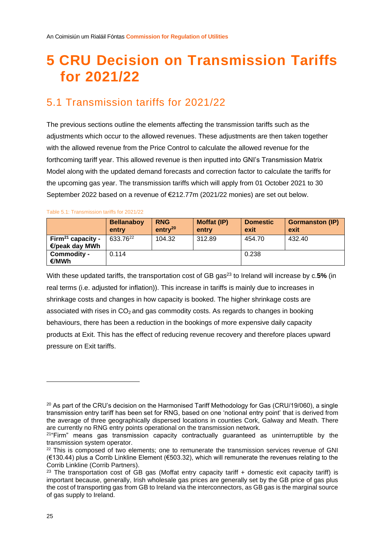## <span id="page-25-2"></span><span id="page-25-0"></span>**5 CRU Decision on Transmission Tariffs for 2021/22**

### <span id="page-25-1"></span>5.1 Transmission tariffs for 2021/22

The previous sections outline the elements affecting the transmission tariffs such as the adjustments which occur to the allowed revenues. These adjustments are then taken together with the allowed revenue from the Price Control to calculate the allowed revenue for the forthcoming tariff year. This allowed revenue is then inputted into GNI's Transmission Matrix Model along with the updated demand forecasts and correction factor to calculate the tariffs for the upcoming gas year. The transmission tariffs which will apply from 01 October 2021 to 30 September 2022 based on a revenue of €212.77m (2021/22 monies) are set out below.

|                                                 | <b>Bellanaboy</b><br>entry | <b>RNG</b><br>entry <sup>20</sup> | Moffat (IP)<br>entry | <b>Domestic</b><br>exit | <b>Gormanston (IP)</b><br>exit |
|-------------------------------------------------|----------------------------|-----------------------------------|----------------------|-------------------------|--------------------------------|
| Firm <sup>21</sup> capacity -<br>€/peak day MWh | 633.76 <sup>22</sup>       | 104.32                            | 312.89               | 454.70                  | 432.40                         |
| Commodity -<br>€/MWh                            | 0.114                      |                                   |                      | 0.238                   |                                |

#### Table 5.1: Transmission tariffs for 2021/22

With these updated tariffs, the transportation cost of GB gas<sup>23</sup> to Ireland will increase by c.5% (in real terms (i.e. adjusted for inflation)). This increase in tariffs is mainly due to increases in shrinkage costs and changes in how capacity is booked. The higher shrinkage costs are associated with rises in  $CO<sub>2</sub>$  and gas commodity costs. As regards to changes in booking behaviours, there has been a reduction in the bookings of more expensive daily capacity products at Exit. This has the effect of reducing revenue recovery and therefore places upward pressure on Exit tariffs.

 $20$  As part of the CRU's decision on the Harmonised Tariff Methodology for Gas (CRU/19/060), a single transmission entry tariff has been set for RNG, based on one 'notional entry point' that is derived from the average of three geographically dispersed locations in counties Cork, Galway and Meath. There are currently no RNG entry points operational on the transmission network.

<sup>21</sup>"Firm" means gas transmission capacity contractually guaranteed as uninterruptible by the transmission system operator.

<sup>&</sup>lt;sup>22</sup> This is composed of two elements; one to remunerate the transmission services revenue of GNI (€130.44) plus a Corrib Linkline Element (€503.32), which will remunerate the revenues relating to the Corrib Linkline (Corrib Partners).

 $23$  The transportation cost of GB gas (Moffat entry capacity tariff + domestic exit capacity tariff) is important because, generally, Irish wholesale gas prices are generally set by the GB price of gas plus the cost of transporting gas from GB to Ireland via the interconnectors, as GB gas is the marginal source of gas supply to Ireland.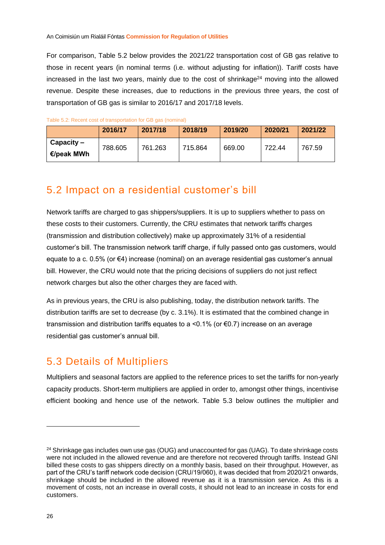For comparison, [Table 5.2](#page-26-2) below provides the 2021/22 transportation cost of GB gas relative to those in recent years (in nominal terms (i.e. without adjusting for inflation)). Tariff costs have increased in the last two years, mainly due to the cost of shrinkage $^{24}$  moving into the allowed revenue. Despite these increases, due to reductions in the previous three years, the cost of transportation of GB gas is similar to 2016/17 and 2017/18 levels.

|                            | 2016/17 | 2017/18 | 2018/19 | 2019/20 | 2020/21 | 2021/22 |
|----------------------------|---------|---------|---------|---------|---------|---------|
| $Capacity -$<br>€/peak MWh | 788.605 | 761.263 | 715.864 | 669.00  | 722.44  | 767.59  |

<span id="page-26-2"></span>

| Table 5.2: Recent cost of transportation for GB gas (nominal) |  |  |  |  |
|---------------------------------------------------------------|--|--|--|--|
|---------------------------------------------------------------|--|--|--|--|

### <span id="page-26-0"></span>5.2 Impact on a residential customer's bill

Network tariffs are charged to gas shippers/suppliers. It is up to suppliers whether to pass on these costs to their customers. Currently, the CRU estimates that network tariffs charges (transmission and distribution collectively) make up approximately 31% of a residential customer's bill. The transmission network tariff charge, if fully passed onto gas customers, would equate to a c. 0.5% (or €4) increase (nominal) on an average residential gas customer's annual bill. However, the CRU would note that the pricing decisions of suppliers do not just reflect network charges but also the other charges they are faced with.

As in previous years, the CRU is also publishing, today, the distribution network tariffs. The distribution tariffs are set to decrease (by c. 3.1%). It is estimated that the combined change in transmission and distribution tariffs equates to a <0.1% (or €0.7) increase on an average residential gas customer's annual bill.

### <span id="page-26-1"></span>5.3 Details of Multipliers

Multipliers and seasonal factors are applied to the reference prices to set the tariffs for non-yearly capacity products. Short-term multipliers are applied in order to, amongst other things, incentivise efficient booking and hence use of the network. [Table 5.3](#page-27-1) below outlines the multiplier and

<sup>&</sup>lt;sup>24</sup> Shrinkage gas includes own use gas (OUG) and unaccounted for gas (UAG). To date shrinkage costs were not included in the allowed revenue and are therefore not recovered through tariffs. Instead GNI billed these costs to gas shippers directly on a monthly basis, based on their throughput. However, as part of the CRU's tariff network code decision (CRU/19/060), it was decided that from 2020/21 onwards, shrinkage should be included in the allowed revenue as it is a transmission service. As this is a movement of costs, not an increase in overall costs, it should not lead to an increase in costs for end customers.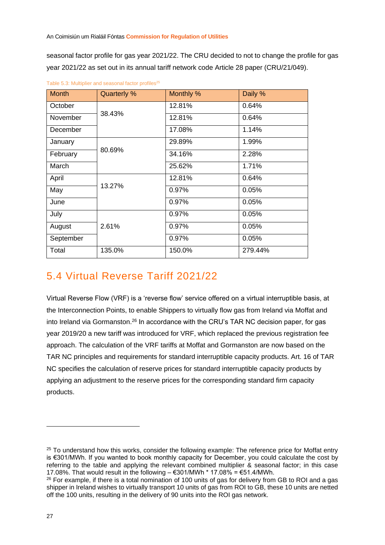seasonal factor profile for gas year 2021/22. The CRU decided to not to change the profile for gas year 2021/22 as set out in its annual tariff network code Article 28 paper (CRU/21/049).

| <b>Month</b> | <b>Quarterly %</b> | Monthly % | Daily % |
|--------------|--------------------|-----------|---------|
| October      |                    | 12.81%    | 0.64%   |
| November     | 38.43%             | 12.81%    | 0.64%   |
| December     |                    | 17.08%    | 1.14%   |
| January      |                    | 29.89%    | 1.99%   |
| February     | 80.69%             | 34.16%    | 2.28%   |
| March        |                    | 25.62%    | 1.71%   |
| April        |                    | 12.81%    | 0.64%   |
| May          | 13.27%             | 0.97%     | 0.05%   |
| June         |                    | 0.97%     | 0.05%   |
| July         |                    | 0.97%     | 0.05%   |
| August       | 2.61%              | 0.97%     | 0.05%   |
| September    |                    | 0.97%     | 0.05%   |
| Total        | 135.0%             | 150.0%    | 279.44% |

<span id="page-27-1"></span>Table 5.3: Multiplier and seasonal factor profiles<sup>25</sup>

### <span id="page-27-0"></span>5.4 Virtual Reverse Tariff 2021/22

Virtual Reverse Flow (VRF) is a 'reverse flow' service offered on a virtual interruptible basis, at the Interconnection Points, to enable Shippers to virtually flow gas from Ireland via Moffat and into Ireland via Gormanston.<sup>26</sup> In accordance with the CRU's TAR NC decision paper, for gas year 2019/20 a new tariff was introduced for VRF, which replaced the previous registration fee approach. The calculation of the VRF tariffs at Moffat and Gormanston are now based on the TAR NC principles and requirements for standard interruptible capacity products. Art. 16 of TAR NC specifies the calculation of reserve prices for standard interruptible capacity products by applying an adjustment to the reserve prices for the corresponding standard firm capacity products.

<sup>&</sup>lt;sup>25</sup> To understand how this works, consider the following example: The reference price for Moffat entry is €301/MWh. If you wanted to book monthly capacity for December, you could calculate the cost by referring to the table and applying the relevant combined multiplier & seasonal factor; in this case 17.08%. That would result in the following  $-$  €301/MWh  $*$  17.08% = €51.4/MWh.

<sup>&</sup>lt;sup>26</sup> For example, if there is a total nomination of 100 units of gas for delivery from GB to ROI and a gas shipper in Ireland wishes to virtually transport 10 units of gas from ROI to GB, these 10 units are netted off the 100 units, resulting in the delivery of 90 units into the ROI gas network.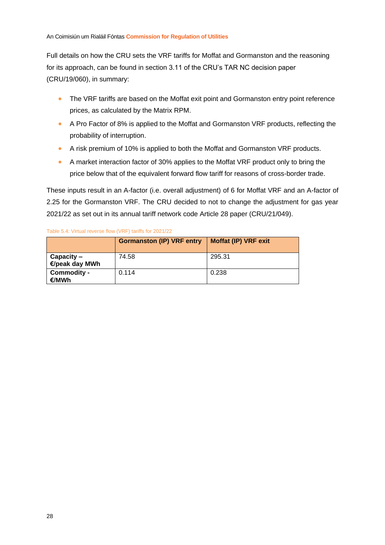Full details on how the CRU sets the VRF tariffs for Moffat and Gormanston and the reasoning for its approach, can be found in section 3.11 of the CRU's TAR NC decision paper (CRU/19/060), in summary:

- The VRF tariffs are based on the Moffat exit point and Gormanston entry point reference prices, as calculated by the Matrix RPM.
- A Pro Factor of 8% is applied to the Moffat and Gormanston VRF products, reflecting the probability of interruption.
- A risk premium of 10% is applied to both the Moffat and Gormanston VRF products.
- A market interaction factor of 30% applies to the Moffat VRF product only to bring the price below that of the equivalent forward flow tariff for reasons of cross-border trade.

These inputs result in an A-factor (i.e. overall adjustment) of 6 for Moffat VRF and an A-factor of 2.25 for the Gormanston VRF. The CRU decided to not to change the adjustment for gas year 2021/22 as set out in its annual tariff network code Article 28 paper (CRU/21/049).

#### Table 5.4: Virtual reverse flow (VRF) tariffs for 2021/22

|                                | <b>Gormanston (IP) VRF entry</b> | <b>Moffat (IP) VRF exit</b> |
|--------------------------------|----------------------------------|-----------------------------|
| $Capacity -$<br>€/peak day MWh | 74.58                            | 295.31                      |
| Commodity -<br>€/MWh           | 0.114                            | 0.238                       |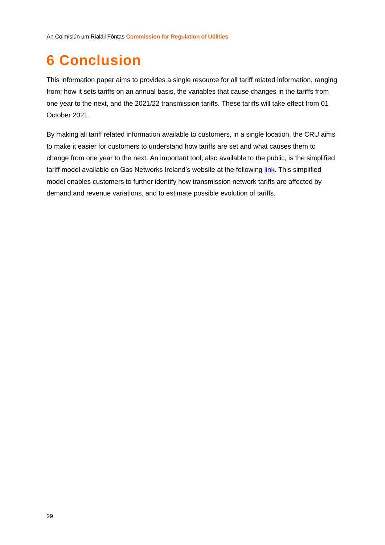## <span id="page-29-0"></span>**6 Conclusion**

This information paper aims to provides a single resource for all tariff related information, ranging from; how it sets tariffs on an annual basis, the variables that cause changes in the tariffs from one year to the next, and the 2021/22 transmission tariffs. These tariffs will take effect from 01 October 2021.

By making all tariff related information available to customers, in a single location, the CRU aims to make it easier for customers to understand how tariffs are set and what causes them to change from one year to the next. An important tool, also available to the public, is the simplified tariff model available on Gas Networks Ireland's website at the following [link.](https://www.gasnetworks.ie/corporate/gas-regulation/tariffs/transmission-tariffs/simplified-tariff-model/) This simplified model enables customers to further identify how transmission network tariffs are affected by demand and revenue variations, and to estimate possible evolution of tariffs.